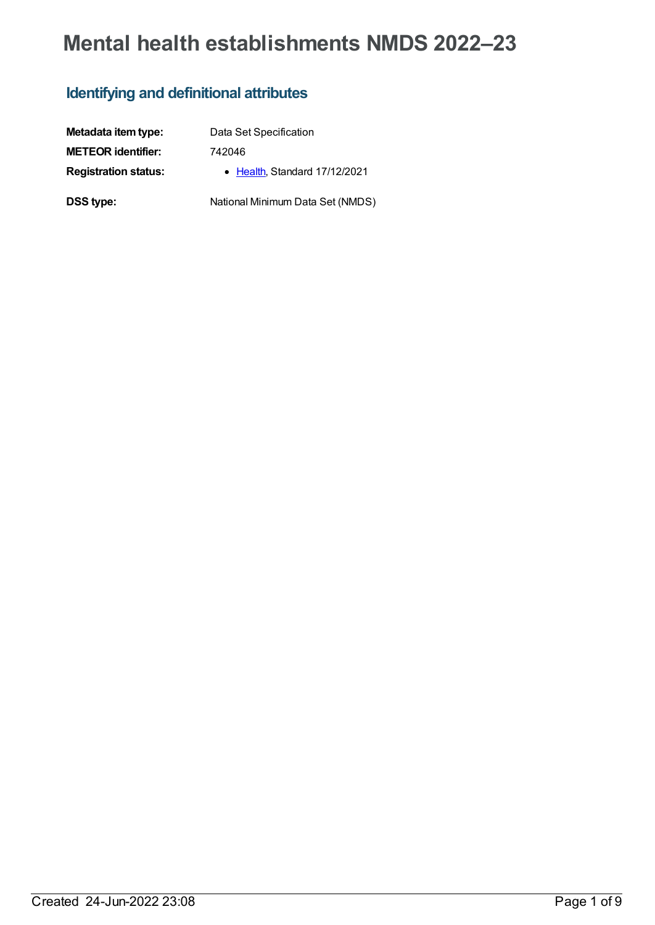# **Mental health establishments NMDS 2022–23**

### **Identifying and definitional attributes**

| Metadata item type:         | Data Set Specification           |
|-----------------------------|----------------------------------|
| <b>METEOR identifier:</b>   | 742046                           |
| <b>Registration status:</b> | • Health Standard 17/12/2021     |
| <b>DSS type:</b>            | National Minimum Data Set (NMDS) |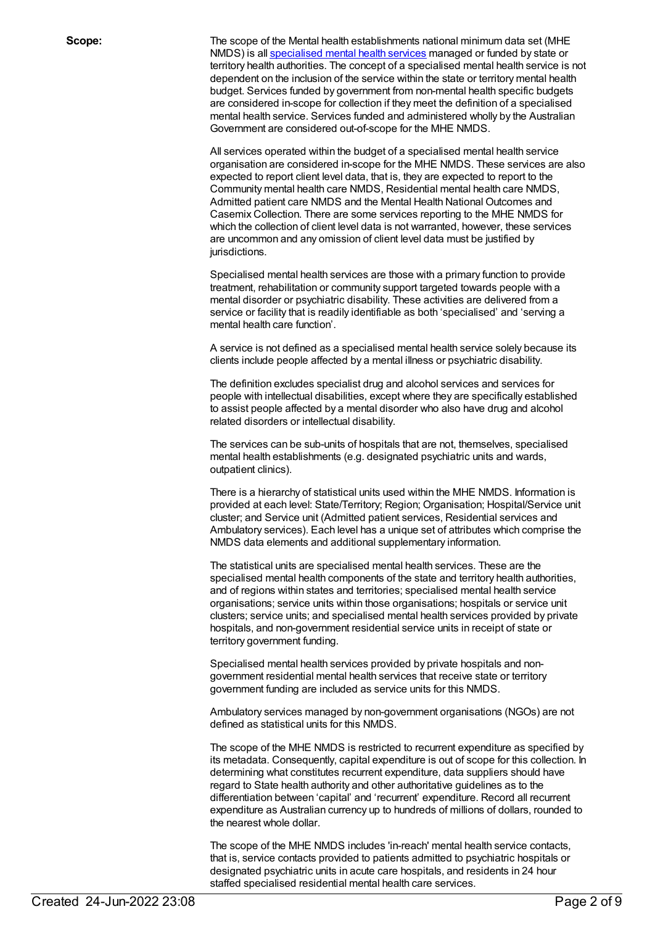**Scope:** The scope of the Mental health establishments national minimum data set (MHE NMDS) is all [specialised](file:///content/268984) mental health services managed or funded by state or territory health authorities. The concept of a specialised mental health service is not dependent on the inclusion of the service within the state or territory mental health budget. Services funded by government from non-mental health specific budgets are considered in-scope for collection if they meet the definition of a specialised mental health service. Services funded and administered wholly by the Australian Government are considered out-of-scope for the MHE NMDS.

> All services operated within the budget of a specialised mental health service organisation are considered in-scope for the MHE NMDS. These services are also expected to report client level data, that is, they are expected to report to the Community mental health care NMDS, Residential mental health care NMDS, Admitted patient care NMDS and the Mental Health National Outcomes and Casemix Collection. There are some services reporting to the MHE NMDS for which the collection of client level data is not warranted, however, these services are uncommon and any omission of client level data must be justified by jurisdictions.

Specialised mental health services are those with a primary function to provide treatment, rehabilitation or community support targeted towards people with a mental disorder or psychiatric disability. These activities are delivered from a service or facility that is readily identifiable as both 'specialised' and 'serving a mental health care function'.

A service is not defined as a specialised mental health service solely because its clients include people affected by a mental illness or psychiatric disability.

The definition excludes specialist drug and alcohol services and services for people with intellectual disabilities, except where they are specifically established to assist people affected by a mental disorder who also have drug and alcohol related disorders or intellectual disability.

The services can be sub-units of hospitals that are not, themselves, specialised mental health establishments (e.g. designated psychiatric units and wards, outpatient clinics).

There is a hierarchy of statistical units used within the MHE NMDS. Information is provided at each level: State/Territory; Region; Organisation; Hospital/Service unit cluster; and Service unit (Admitted patient services, Residential services and Ambulatory services). Each level has a unique set of attributes which comprise the NMDS data elements and additional supplementary information.

The statistical units are specialised mental health services. These are the specialised mental health components of the state and territory health authorities, and of regions within states and territories; specialised mental health service organisations; service units within those organisations; hospitals or service unit clusters; service units; and specialised mental health services provided by private hospitals, and non-government residential service units in receipt of state or territory government funding.

Specialised mental health services provided by private hospitals and nongovernment residential mental health services that receive state or territory government funding are included as service units for this NMDS.

Ambulatory services managed by non-government organisations (NGOs) are not defined as statistical units for this NMDS.

The scope of the MHE NMDS is restricted to recurrent expenditure as specified by its metadata. Consequently, capital expenditure is out of scope for this collection. In determining what constitutes recurrent expenditure, data suppliers should have regard to State health authority and other authoritative guidelines as to the differentiation between 'capital' and 'recurrent' expenditure. Record all recurrent expenditure as Australian currency up to hundreds of millions of dollars, rounded to the nearest whole dollar.

The scope of the MHE NMDS includes 'in-reach' mental health service contacts, that is, service contacts provided to patients admitted to psychiatric hospitals or designated psychiatric units in acute care hospitals, and residents in 24 hour staffed specialised residential mental health care services.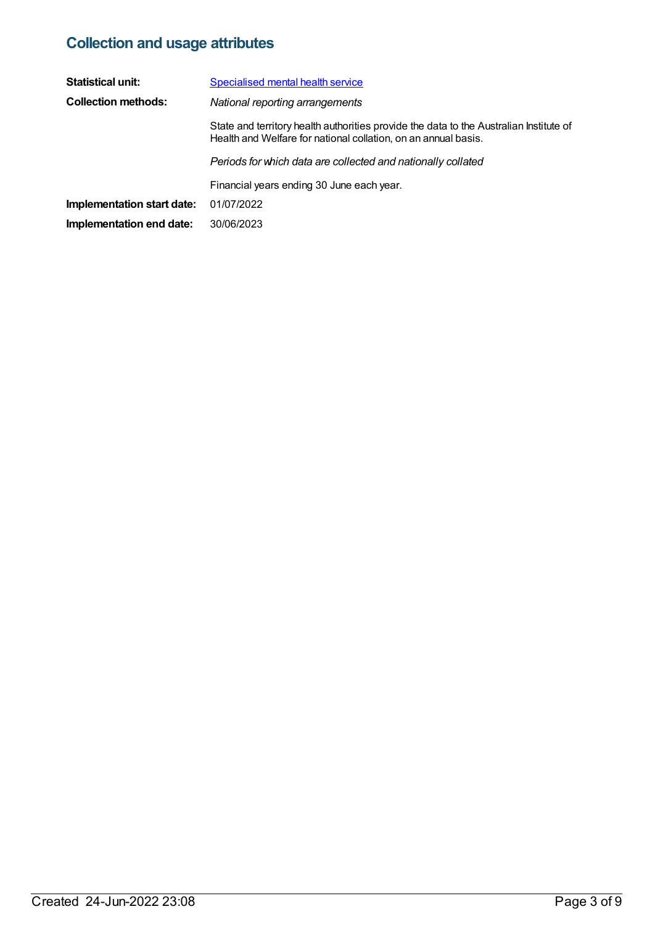## **Collection and usage attributes**

| <b>Statistical unit:</b>   | <b>Specialised mental health service</b>                                                                                                                 |
|----------------------------|----------------------------------------------------------------------------------------------------------------------------------------------------------|
| <b>Collection methods:</b> | National reporting arrangements                                                                                                                          |
|                            | State and territory health authorities provide the data to the Australian Institute of<br>Health and Welfare for national collation, on an annual basis. |
|                            | Periods for which data are collected and nationally collated                                                                                             |
|                            | Financial years ending 30 June each year.                                                                                                                |
| Implementation start date: | 01/07/2022                                                                                                                                               |
| Implementation end date:   | 30/06/2023                                                                                                                                               |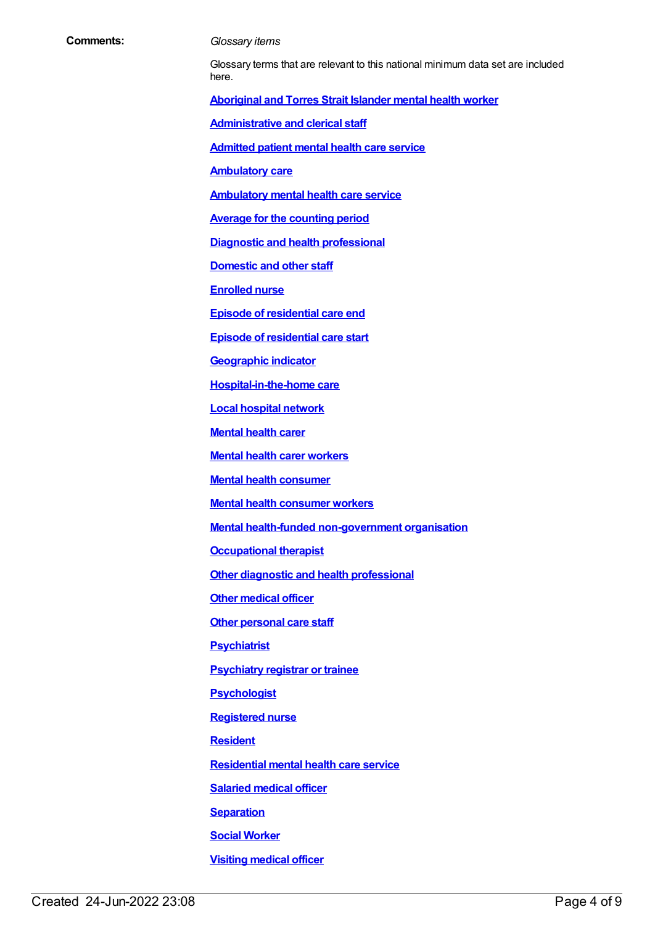#### **Comments:** *Glossary items*

Glossary terms that are relevant to this national minimum data set are included here.

**[Aboriginal](https://meteor.aihw.gov.au/content/701021) and Torres Strait Islander mental health worker**

**[Administrative](https://meteor.aihw.gov.au/content/327166) and clerical staff**

**[Admitted](https://meteor.aihw.gov.au/content/409067) patient mental health care service**

**[Ambulatory](https://meteor.aihw.gov.au/content/749893) care**

**[Ambulatory](https://meteor.aihw.gov.au/content/699980) mental health care service**

**Average for the [counting](https://meteor.aihw.gov.au/content/373642) period**

**Diagnostic and health [professional](https://meteor.aihw.gov.au/content/327164)**

**[Domestic](https://meteor.aihw.gov.au/content/327168) and other staff**

**[Enrolled](https://meteor.aihw.gov.au/content/717101) nurse**

**Episode of [residential](https://meteor.aihw.gov.au/content/376427) care end**

**Episode of [residential](https://meteor.aihw.gov.au/content/376510) care start**

**[Geographic](https://meteor.aihw.gov.au/content/722655) indicator**

**[Hospital-in-the-home](https://meteor.aihw.gov.au/content/327308) care**

**Local [hospital](https://meteor.aihw.gov.au/content/711144) network**

**[Mental](https://meteor.aihw.gov.au/content/515278) health carer**

**Mental health carer [workers](https://meteor.aihw.gov.au/content/717103)**

**Mental health [consumer](https://meteor.aihw.gov.au/content/515275)**

**Mental health [consumer](https://meteor.aihw.gov.au/content/450727) workers**

**Mental health-funded [non-government](https://meteor.aihw.gov.au/content/327446) organisation**

**[Occupational](https://meteor.aihw.gov.au/content/717106) therapist**

**Other diagnostic and health [professional](https://meteor.aihw.gov.au/content/327338)**

**Other [medical](https://meteor.aihw.gov.au/content/717108) officer**

**Other [personal](https://meteor.aihw.gov.au/content/327162) care staff**

**[Psychiatrist](https://meteor.aihw.gov.au/content/717113)**

**[Psychiatry](https://meteor.aihw.gov.au/content/717116) registrar or trainee**

**[Psychologist](https://meteor.aihw.gov.au/content/717120)**

**[Registered](https://meteor.aihw.gov.au/content/327182) nurse**

**[Resident](https://meteor.aihw.gov.au/content/722666)**

**[Residential](https://meteor.aihw.gov.au/content/373049) mental health care service**

**[Salaried](https://meteor.aihw.gov.au/content/327188) medical officer**

**[Separation](https://meteor.aihw.gov.au/content/327268)**

**Social [Worker](https://meteor.aihw.gov.au/content/327348)**

**Visiting [medical](https://meteor.aihw.gov.au/content/327170) officer**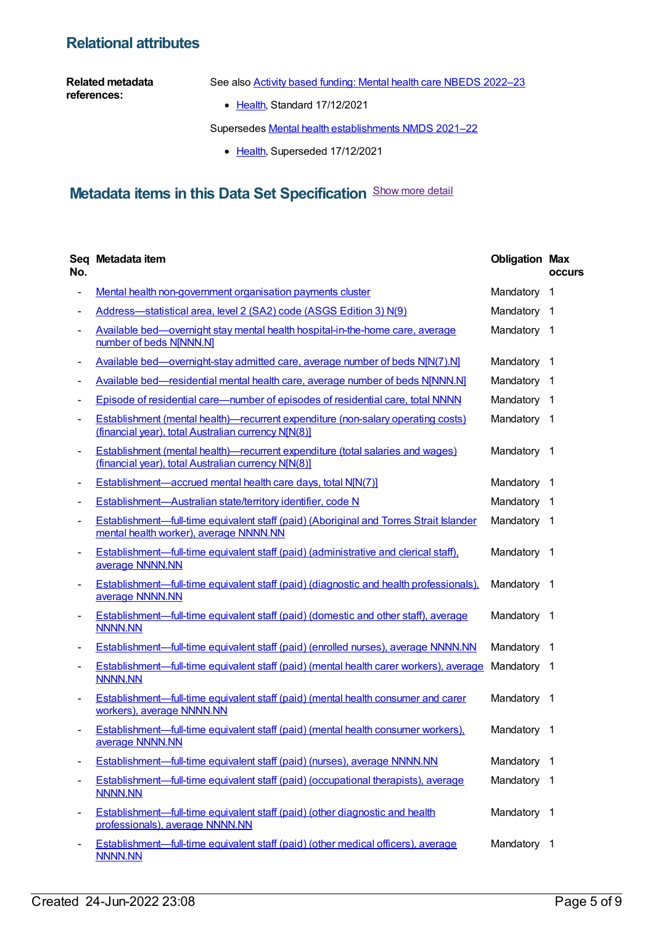### **Relational attributes**

#### **Related metadata references:**

See also Activity based funding: Mental health care NBEDS [2022–23](https://meteor.aihw.gov.au/content/742188)

• [Health](https://meteor.aihw.gov.au/RegistrationAuthority/12), Standard 17/12/2021

Supersedes Mental health [establishments](https://meteor.aihw.gov.au/content/727352) NMDS 2021–22

• [Health](https://meteor.aihw.gov.au/RegistrationAuthority/12), Superseded 17/12/2021

### **Metadata items in this Data Set Specification** Show more detail

| No.                      | Seq Metadata item                                                                                                                            | <b>Obligation Max</b> | <b>occurs</b>  |
|--------------------------|----------------------------------------------------------------------------------------------------------------------------------------------|-----------------------|----------------|
|                          | Mental health non-government organisation payments cluster                                                                                   | Mandatory             | $\mathbf 1$    |
|                          | Address-statistical area, level 2 (SA2) code (ASGS Edition 3) N(9)                                                                           | Mandatory 1           |                |
|                          | Available bed—overnight stay mental health hospital-in-the-home care, average<br>number of beds N[NNN.N]                                     | Mandatory 1           |                |
|                          | Available bed—overnight-stay admitted care, average number of beds N[N(7).N]                                                                 | Mandatory             | $\overline{1}$ |
|                          | Available bed—residential mental health care, average number of beds N[NNN.N]                                                                | Mandatory             | $\overline{1}$ |
| -                        | Episode of residential care—number of episodes of residential care, total NNNN                                                               | Mandatory             | -1             |
|                          | Establishment (mental health)—recurrent expenditure (non-salary operating costs)<br>(financial year), total Australian currency NJN(8)]      | Mandatory 1           |                |
| $\overline{\phantom{a}}$ | <b>Establishment (mental health)—recurrent expenditure (total salaries and wages)</b><br>(financial year), total Australian currency N[N(8)] | Mandatory 1           |                |
|                          | Establishment—accrued mental health care days, total N[N(7)]                                                                                 | Mandatory 1           |                |
|                          | Establishment-Australian state/territory identifier, code N                                                                                  | Mandatory             | - 1            |
| $\overline{\phantom{a}}$ | Establishment-full-time equivalent staff (paid) (Aboriginal and Torres Strait Islander<br>mental health worker), average NNNN.NN             | Mandatory             | -1             |
| -                        | Establishment—full-time equivalent staff (paid) (administrative and clerical staff),<br>average NNNN.NN                                      | Mandatory 1           |                |
| $\overline{\phantom{0}}$ | Establishment—full-time equivalent staff (paid) (diagnostic and health professionals),<br>average NNNN.NN                                    | Mandatory 1           |                |
|                          | <b>Establishment—full-time equivalent staff (paid) (domestic and other staff), average</b><br><b>NNNN.NN</b>                                 | Mandatory 1           |                |
|                          | Establishment—full-time equivalent staff (paid) (enrolled nurses), average NNNN.NN                                                           | Mandatory 1           |                |
| $\overline{\phantom{a}}$ | Establishment—full-time equivalent staff (paid) (mental health carer workers), average<br><b>NNNN.NN</b>                                     | Mandatory 1           |                |
| $\overline{\phantom{a}}$ | <b>Establishment—full-time equivalent staff (paid) (mental health consumer and carer</b><br>workers), average NNNN.NN                        | Mandatory 1           |                |
|                          | Establishment—full-time equivalent staff (paid) (mental health consumer workers),<br>average NNNN.NN                                         | Mandatory 1           |                |
|                          | Establishment-full-time equivalent staff (paid) (nurses), average NNNN.NN                                                                    | Mandatory             | $\overline{1}$ |
|                          | <b>Establishment—full-time equivalent staff (paid) (occupational therapists), average</b><br><b>NNNN.NN</b>                                  | Mandatory 1           |                |
| $\overline{\phantom{a}}$ | Establishment—full-time equivalent staff (paid) (other diagnostic and health<br>professionals), average NNNN.NN                              | Mandatory 1           |                |
|                          | Establishment—full-time equivalent staff (paid) (other medical officers), average<br><b>NNNN.NN</b>                                          | Mandatory 1           |                |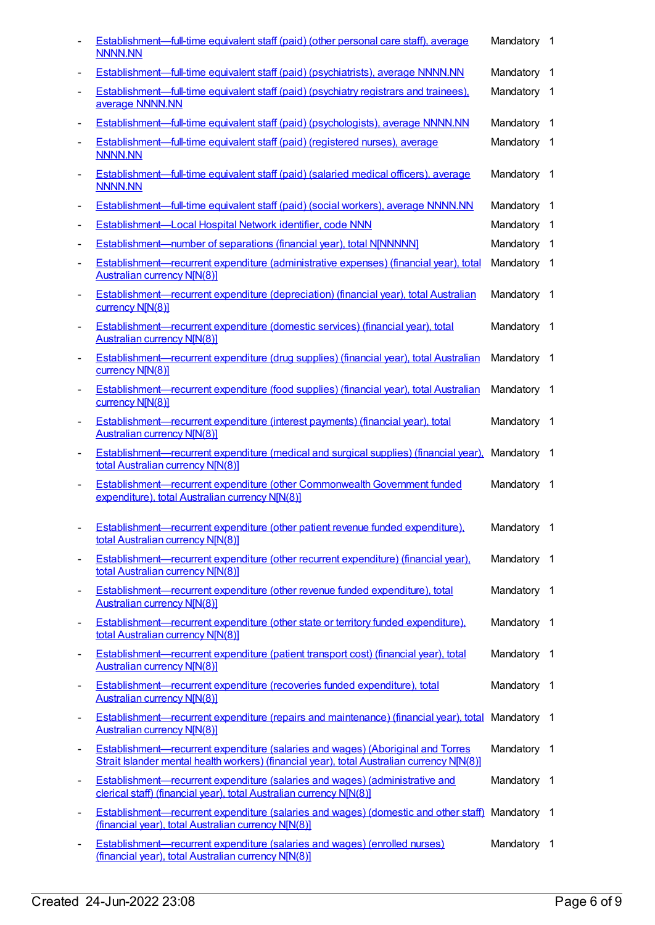|                              | <b>Establishment—full-time equivalent staff (paid) (other personal care staff), average</b><br><b>NNNN.NN</b>                                                                        | Mandatory   | $\overline{1}$ |
|------------------------------|--------------------------------------------------------------------------------------------------------------------------------------------------------------------------------------|-------------|----------------|
| $\overline{\phantom{a}}$     | <b>Establishment—full-time equivalent staff (paid) (psychiatrists), average NNNN.NN</b>                                                                                              | Mandatory   | $\overline{1}$ |
|                              | <b>Establishment—full-time equivalent staff (paid) (psychiatry registrars and trainees),</b><br>average NNNN.NN                                                                      | Mandatory 1 |                |
| $\overline{\phantom{a}}$     | Establishment—full-time equivalent staff (paid) (psychologists), average NNNN.NN                                                                                                     | Mandatory   | - 1            |
|                              | Establishment—full-time equivalent staff (paid) (registered nurses), average<br><b>NNNN.NN</b>                                                                                       | Mandatory 1 |                |
| $\overline{\phantom{a}}$     | Establishment—full-time equivalent staff (paid) (salaried medical officers), average<br><b>NNNN.NN</b>                                                                               | Mandatory 1 |                |
| $\overline{\phantom{a}}$     | Establishment—full-time equivalent staff (paid) (social workers), average NNNN.NN                                                                                                    | Mandatory   | -1             |
| $\overline{\phantom{a}}$     | Establishment-Local Hospital Network identifier, code NNN                                                                                                                            | Mandatory   | $\overline{1}$ |
| $\overline{\phantom{a}}$     | <b>Establishment-number of separations (financial year), total N[NNNNN]</b>                                                                                                          | Mandatory   | $\overline{1}$ |
| $\overline{\phantom{a}}$     | Establishment—recurrent expenditure (administrative expenses) (financial year), total<br><b>Australian currency N[N(8)]</b>                                                          | Mandatory 1 |                |
|                              | Establishment—recurrent expenditure (depreciation) (financial year), total Australian<br>currency N[N(8)]                                                                            | Mandatory   | - 1            |
|                              | Establishment-recurrent expenditure (domestic services) (financial year), total<br><b>Australian currency N[N(8)]</b>                                                                | Mandatory 1 |                |
| $\overline{\phantom{a}}$     | Establishment—recurrent expenditure (drug supplies) (financial year), total Australian<br>currency N[N(8)]                                                                           | Mandatory 1 |                |
| $\qquad \qquad \blacksquare$ | Establishment—recurrent expenditure (food supplies) (financial year), total Australian<br>currency N[N(8)]                                                                           | Mandatory   | $\overline{1}$ |
|                              | Establishment—recurrent expenditure (interest payments) (financial year), total<br><b>Australian currency N[N(8)]</b>                                                                | Mandatory 1 |                |
| $\overline{\phantom{a}}$     | Establishment—recurrent expenditure (medical and surgical supplies) (financial year).<br>total Australian currency N[N(8)]                                                           | Mandatory   | - 1            |
|                              | Establishment-recurrent expenditure (other Commonwealth Government funded<br>expenditure), total Australian currency N[N(8)]                                                         | Mandatory 1 |                |
| $\blacksquare$               | Establishment-recurrent expenditure (other patient revenue funded expenditure).<br>total Australian currency N[N(8)]                                                                 | Mandatory 1 |                |
| $\overline{\phantom{a}}$     | <b>Establishment—recurrent expenditure (other recurrent expenditure) (financial year),</b><br>total Australian currency N[N(8)]                                                      | Mandatory 1 |                |
| $\qquad \qquad \blacksquare$ | Establishment-recurrent expenditure (other revenue funded expenditure), total<br><b>Australian currency N[N(8)]</b>                                                                  | Mandatory 1 |                |
| $\overline{\phantom{a}}$     | Establishment—recurrent expenditure (other state or territory funded expenditure),<br>total Australian currency N[N(8)]                                                              | Mandatory   | $\overline{1}$ |
| $\overline{\phantom{a}}$     | Establishment—recurrent expenditure (patient transport cost) (financial year), total<br><b>Australian currency N[N(8)]</b>                                                           | Mandatory 1 |                |
| $\overline{\phantom{a}}$     | Establishment—recurrent expenditure (recoveries funded expenditure), total<br><b>Australian currency N[N(8)]</b>                                                                     | Mandatory   | $\overline{1}$ |
| $\overline{\phantom{a}}$     | <b>Establishment—recurrent expenditure (repairs and maintenance) (financial year), total</b><br><b>Australian currency N[N(8)]</b>                                                   | Mandatory 1 |                |
| $\qquad \qquad \blacksquare$ | <b>Establishment—recurrent expenditure (salaries and wages) (Aboriginal and Torres</b><br>Strait Islander mental health workers) (financial year), total Australian currency N[N(8)] | Mandatory 1 |                |
| $\overline{\phantom{a}}$     | <b>Establishment—recurrent expenditure (salaries and wages) (administrative and</b><br>clerical staff) (financial year), total Australian currency N[N(8)]                           | Mandatory   | $\overline{1}$ |
| $\overline{\phantom{a}}$     | Establishment-recurrent expenditure (salaries and wages) (domestic and other staff)<br>(financial year), total Australian currency N[N(8)]                                           | Mandatory 1 |                |
| $\overline{\phantom{a}}$     | <b>Establishment—recurrent expenditure (salaries and wages) (enrolled nurses)</b><br>(financial year), total Australian currency N[N(8)]                                             | Mandatory 1 |                |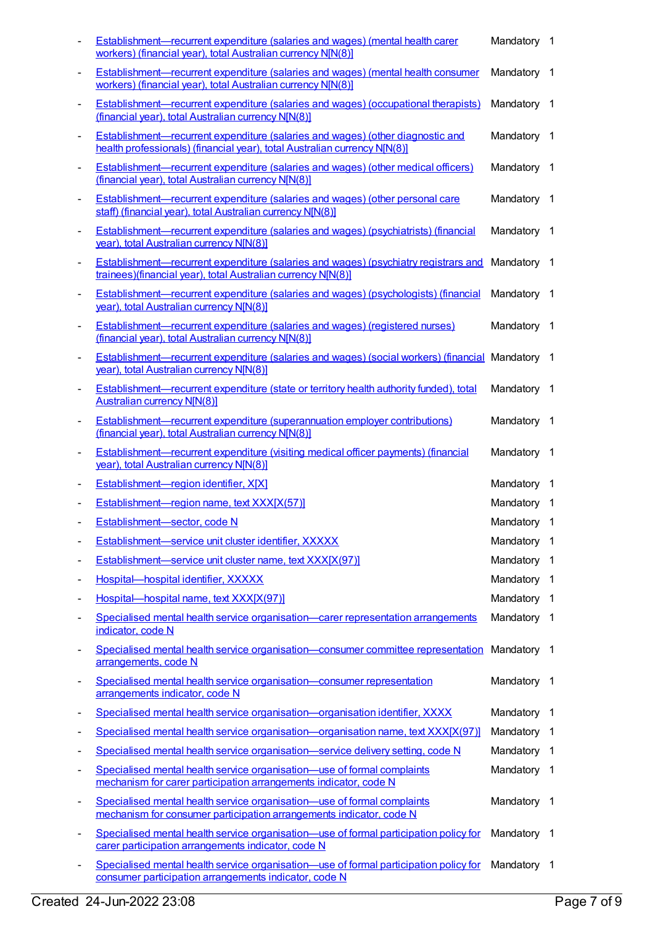|                              | <b>Establishment—recurrent expenditure (salaries and wages) (mental health carer</b><br>workers) (financial year), total Australian currency N[N(8)]               | Mandatory 1 |                          |
|------------------------------|--------------------------------------------------------------------------------------------------------------------------------------------------------------------|-------------|--------------------------|
| $\overline{\phantom{a}}$     | <b>Establishment—recurrent expenditure (salaries and wages) (mental health consumer</b><br>workers) (financial year), total Australian currency N[N(8)]            | Mandatory   | $\overline{1}$           |
|                              | <b>Establishment—recurrent expenditure (salaries and wages) (occupational therapists)</b><br>(financial year), total Australian currency N[N(8)]                   | Mandatory 1 |                          |
|                              | <b>Establishment—recurrent expenditure (salaries and wages) (other diagnostic and</b><br>health professionals) (financial year), total Australian currency N[N(8)] | Mandatory 1 |                          |
|                              | <b>Establishment—recurrent expenditure (salaries and wages) (other medical officers)</b><br>(financial year), total Australian currency N[N(8)]                    | Mandatory 1 |                          |
| $\qquad \qquad \blacksquare$ | Establishment-recurrent expenditure (salaries and wages) (other personal care<br>staff) (financial year), total Australian currency N[N(8)]                        | Mandatory 1 |                          |
| $\overline{\phantom{a}}$     | Establishment-recurrent expenditure (salaries and wages) (psychiatrists) (financial<br>year), total Australian currency N[N(8)]                                    | Mandatory   | $\overline{\phantom{1}}$ |
|                              | Establishment-recurrent expenditure (salaries and wages) (psychiatry registrars and<br>trainees)(financial year), total Australian currency N[N(8)]                | Mandatory 1 |                          |
|                              | <b>Establishment—recurrent expenditure (salaries and wages) (psychologists) (financial</b><br>year), total Australian currency N[N(8)]                             | Mandatory 1 |                          |
|                              | <b>Establishment—recurrent expenditure (salaries and wages) (registered nurses)</b><br>(financial year), total Australian currency N[N(8)]                         | Mandatory 1 |                          |
| $\overline{\phantom{a}}$     | <b>Establishment—recurrent expenditure (salaries and wages) (social workers) (financial Mandatory 1</b><br>year), total Australian currency N[N(8)]                |             |                          |
| $\overline{\phantom{a}}$     | <b>Establishment—recurrent expenditure (state or territory health authority funded), total</b><br><b>Australian currency N[N(8)]</b>                               | Mandatory 1 |                          |
|                              | <b>Establishment—recurrent expenditure (superannuation employer contributions)</b><br>(financial year), total Australian currency N[N(8)]                          | Mandatory 1 |                          |
|                              | Establishment-recurrent expenditure (visiting medical officer payments) (financial<br>year), total Australian currency N[N(8)]                                     | Mandatory   | $\overline{1}$           |
|                              | Establishment-region identifier, X[X]                                                                                                                              | Mandatory 1 |                          |
|                              | Establishment-region name, text XXX[X(57)]                                                                                                                         | Mandatory 1 |                          |
|                              | Establishment-sector, code N                                                                                                                                       | Mandatory 1 |                          |
|                              | Establishment-service unit cluster identifier, XXXXX                                                                                                               | Mandatory   | $\overline{1}$           |
| -                            | Establishment-service unit cluster name, text XXX[X(97)]                                                                                                           | Mandatory   | $\overline{1}$           |
| ۰                            | Hospital-hospital identifier, XXXXX                                                                                                                                | Mandatory   | -1                       |
|                              | Hospital-hospital name, text XXX[X(97)]                                                                                                                            | Mandatory   | $\overline{1}$           |
|                              | Specialised mental health service organisation—carer representation arrangements<br>indicator, code N                                                              | Mandatory   | - 1                      |
|                              | Specialised mental health service organisation-consumer committee representation<br>arrangements, code N                                                           | Mandatory 1 |                          |
|                              | Specialised mental health service organisation-consumer representation<br>arrangements indicator, code N                                                           | Mandatory 1 |                          |
| -                            | Specialised mental health service organisation—organisation identifier, XXXX                                                                                       | Mandatory   | $\overline{1}$           |
| ٠                            | Specialised mental health service organisation—organisation name, text XXX[X(97)]                                                                                  | Mandatory   | - 1                      |
| -                            | Specialised mental health service organisation—service delivery setting, code N                                                                                    | Mandatory   | - 1                      |
| -                            | Specialised mental health service organisation-use of formal complaints<br>mechanism for carer participation arrangements indicator, code N                        | Mandatory 1 |                          |
| $\overline{a}$               | Specialised mental health service organisation—use of formal complaints<br>mechanism for consumer participation arrangements indicator, code N                     | Mandatory 1 |                          |
|                              | Specialised mental health service organisation—use of formal participation policy for<br>carer participation arrangements indicator, code N                        | Mandatory 1 |                          |
|                              | Specialised mental health service organisation-use of formal participation policy for<br>consumer participation arrangements indicator, code N                     | Mandatory 1 |                          |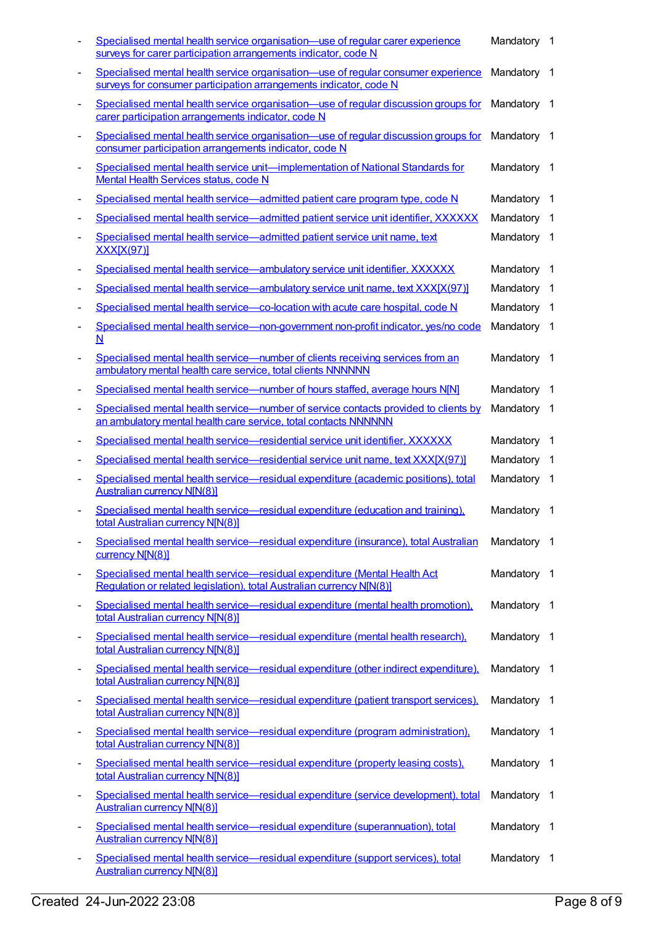|                              | Specialised mental health service organisation—use of regular carer experience<br>surveys for carer participation arrangements indicator, code N       | Mandatory 1 |                |
|------------------------------|--------------------------------------------------------------------------------------------------------------------------------------------------------|-------------|----------------|
|                              | Specialised mental health service organisation—use of regular consumer experience<br>surveys for consumer participation arrangements indicator, code N | Mandatory 1 |                |
|                              | Specialised mental health service organisation—use of regular discussion groups for<br>carer participation arrangements indicator, code N              | Mandatory 1 |                |
|                              | Specialised mental health service organisation—use of regular discussion groups for<br>consumer participation arrangements indicator, code N           | Mandatory 1 |                |
|                              | Specialised mental health service unit-implementation of National Standards for<br>Mental Health Services status, code N                               | Mandatory   | - 1            |
| -                            | Specialised mental health service—admitted patient care program type, code N                                                                           | Mandatory   | - 1            |
|                              | Specialised mental health service—admitted patient service unit identifier, XXXXXX                                                                     | Mandatory   | $\overline{1}$ |
|                              | Specialised mental health service-admitted patient service unit name, text<br><b>XXX[X(97)]</b>                                                        | Mandatory 1 |                |
|                              | Specialised mental health service-ambulatory service unit identifier, XXXXXX                                                                           | Mandatory   | - 1            |
|                              | Specialised mental health service—ambulatory service unit name, text XXX[X(97)]                                                                        | Mandatory 1 |                |
|                              | Specialised mental health service-co-location with acute care hospital, code N                                                                         | Mandatory 1 |                |
|                              | Specialised mental health service—non-government non-profit indicator, yes/no code<br>N                                                                | Mandatory 1 |                |
|                              | Specialised mental health service—number of clients receiving services from an<br>ambulatory mental health care service, total clients NNNNNN          | Mandatory 1 |                |
|                              | Specialised mental health service—number of hours staffed, average hours N[N]                                                                          | Mandatory   | $\overline{1}$ |
|                              | Specialised mental health service—number of service contacts provided to clients by<br>an ambulatory mental health care service, total contacts NNNNNN | Mandatory 1 |                |
|                              | Specialised mental health service-residential service unit identifier, XXXXXX                                                                          | Mandatory   | - 1            |
|                              | Specialised mental health service-residential service unit name, text XXX[X(97)]                                                                       | Mandatory 1 |                |
|                              | Specialised mental health service—residual expenditure (academic positions), total<br><b>Australian currency N[N(8)]</b>                               | Mandatory 1 |                |
|                              | Specialised mental health service-residual expenditure (education and training).<br>total Australian currency N[N(8)]                                  | Mandatory 1 |                |
| $\overline{\phantom{a}}$     | Specialised mental health service—residual expenditure (insurance), total Australian<br>currency N[N(8)]                                               | Mandatory   | $\overline{1}$ |
| -                            | Specialised mental health service-residual expenditure (Mental Health Act<br>Requlation or related legislation), total Australian currency N[N(8)]     | Mandatory 1 |                |
| $\overline{a}$               | Specialised mental health service-residual expenditure (mental health promotion),<br>total Australian currency N[N(8)]                                 | Mandatory 1 |                |
|                              | Specialised mental health service-residual expenditure (mental health research),<br>total Australian currency N[N(8)]                                  | Mandatory 1 |                |
| $\overline{\phantom{a}}$     | Specialised mental health service—residual expenditure (other indirect expenditure).<br>total Australian currency N[N(8)]                              | Mandatory 1 |                |
| $\overline{\phantom{a}}$     | Specialised mental health service—residual expenditure (patient transport services),<br>total Australian currency N[N(8)]                              | Mandatory   | - 1            |
| $\qquad \qquad \blacksquare$ | Specialised mental health service—residual expenditure (program administration).<br>total Australian currency N[N(8)]                                  | Mandatory 1 |                |
| $\overline{\phantom{a}}$     | Specialised mental health service-residual expenditure (property leasing costs).<br>total Australian currency N[N(8)]                                  | Mandatory 1 |                |
|                              | Specialised mental health service—residual expenditure (service development), total<br><b>Australian currency N[N(8)]</b>                              | Mandatory 1 |                |
| $\overline{\phantom{a}}$     | Specialised mental health service-residual expenditure (superannuation), total<br><b>Australian currency N[N(8)]</b>                                   | Mandatory 1 |                |
| $\overline{\phantom{a}}$     | Specialised mental health service-residual expenditure (support services), total<br><b>Australian currency N[N(8)]</b>                                 | Mandatory   | $\overline{1}$ |